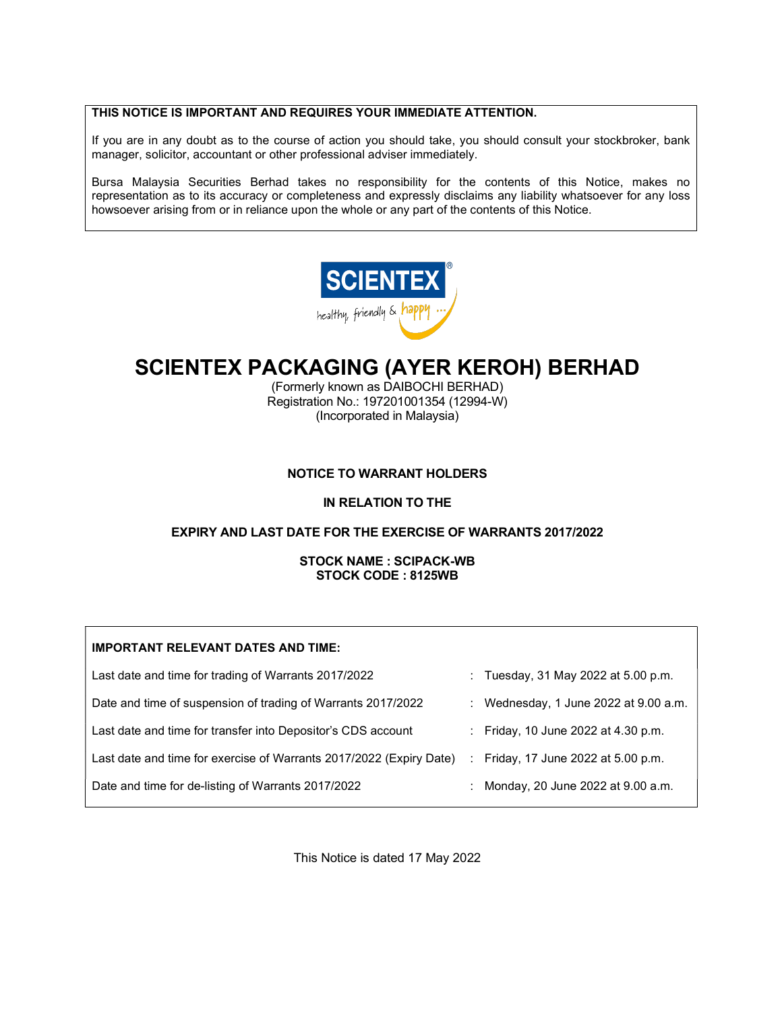## THIS NOTICE IS IMPORTANT AND REQUIRES YOUR IMMEDIATE ATTENTION.

If you are in any doubt as to the course of action you should take, you should consult your stockbroker, bank manager, solicitor, accountant or other professional adviser immediately.

Bursa Malaysia Securities Berhad takes no responsibility for the contents of this Notice, makes no representation as to its accuracy or completeness and expressly disclaims any liability whatsoever for any loss howsoever arising from or in reliance upon the whole or any part of the contents of this Notice.



# SCIENTEX PACKAGING (AYER KEROH) BERHAD

(Formerly known as DAIBOCHI BERHAD) Registration No.: 197201001354 (12994-W) (Incorporated in Malaysia)

#### NOTICE TO WARRANT HOLDERS

#### IN RELATION TO THE

#### EXPIRY AND LAST DATE FOR THE EXERCISE OF WARRANTS 2017/2022

STOCK NAME : SCIPACK-WB STOCK CODE : 8125WB

| <b>IMPORTANT RELEVANT DATES AND TIME:</b>                           |   |                                         |
|---------------------------------------------------------------------|---|-----------------------------------------|
| Last date and time for trading of Warrants 2017/2022                |   | : Tuesday, 31 May 2022 at 5.00 p.m.     |
| Date and time of suspension of trading of Warrants 2017/2022        |   | : Wednesday, 1 June 2022 at $9.00$ a.m. |
| Last date and time for transfer into Depositor's CDS account        |   | : Friday, 10 June 2022 at 4.30 p.m.     |
| Last date and time for exercise of Warrants 2017/2022 (Expiry Date) | ÷ | Friday, 17 June 2022 at 5.00 p.m.       |
| Date and time for de-listing of Warrants 2017/2022                  |   | Monday, 20 June 2022 at 9.00 a.m.       |

This Notice is dated 17 May 2022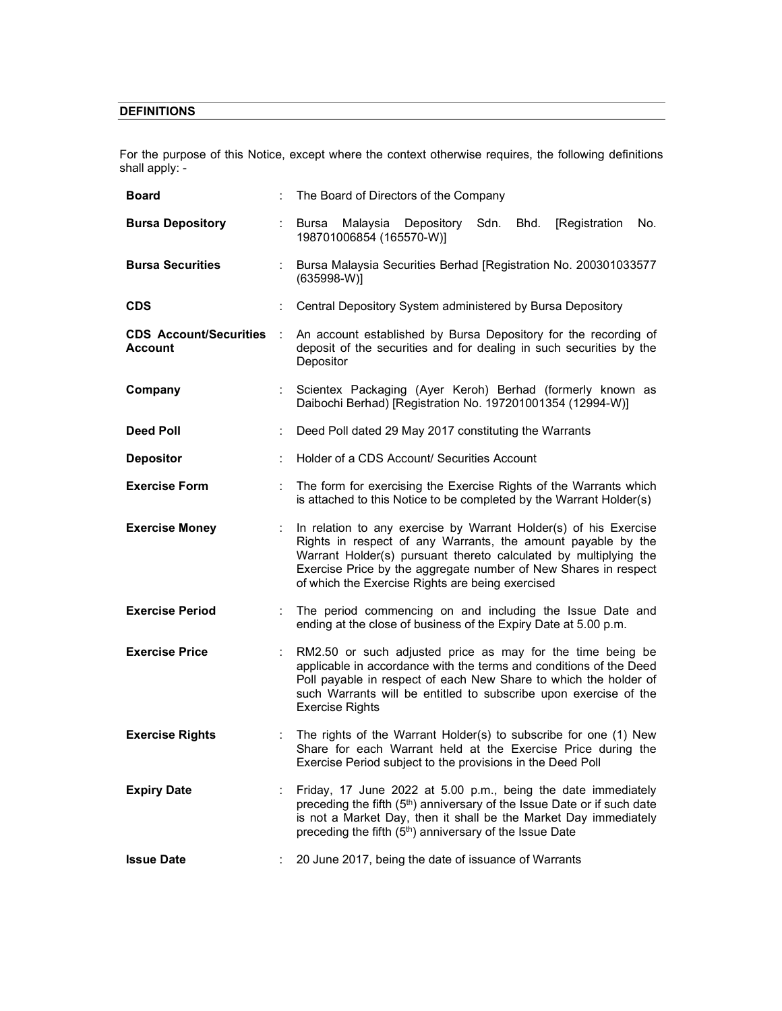## **DEFINITIONS**

For the purpose of this Notice, except where the context otherwise requires, the following definitions shall apply: -

| <b>Board</b>                                    |    | The Board of Directors of the Company                                                                                                                                                                                                                                                                                       |
|-------------------------------------------------|----|-----------------------------------------------------------------------------------------------------------------------------------------------------------------------------------------------------------------------------------------------------------------------------------------------------------------------------|
| <b>Bursa Depository</b>                         | ÷  | Bursa Malaysia Depository<br>Sdn.<br>Bhd.<br>[Registration]<br>No.<br>198701006854 (165570-W)]                                                                                                                                                                                                                              |
| <b>Bursa Securities</b>                         | ÷  | Bursa Malaysia Securities Berhad [Registration No. 200301033577<br>$(635998-W)$ ]                                                                                                                                                                                                                                           |
| <b>CDS</b>                                      |    | Central Depository System administered by Bursa Depository                                                                                                                                                                                                                                                                  |
| <b>CDS Account/Securities</b><br><b>Account</b> |    | An account established by Bursa Depository for the recording of<br>deposit of the securities and for dealing in such securities by the<br>Depositor                                                                                                                                                                         |
| Company                                         |    | Scientex Packaging (Ayer Keroh) Berhad (formerly known as<br>Daibochi Berhad) [Registration No. 197201001354 (12994-W)]                                                                                                                                                                                                     |
| <b>Deed Poll</b>                                |    | Deed Poll dated 29 May 2017 constituting the Warrants                                                                                                                                                                                                                                                                       |
| <b>Depositor</b>                                | ÷  | Holder of a CDS Account/ Securities Account                                                                                                                                                                                                                                                                                 |
| <b>Exercise Form</b>                            |    | The form for exercising the Exercise Rights of the Warrants which<br>is attached to this Notice to be completed by the Warrant Holder(s)                                                                                                                                                                                    |
| <b>Exercise Money</b>                           | ÷  | In relation to any exercise by Warrant Holder(s) of his Exercise<br>Rights in respect of any Warrants, the amount payable by the<br>Warrant Holder(s) pursuant thereto calculated by multiplying the<br>Exercise Price by the aggregate number of New Shares in respect<br>of which the Exercise Rights are being exercised |
| <b>Exercise Period</b>                          | ÷. | The period commencing on and including the Issue Date and<br>ending at the close of business of the Expiry Date at 5.00 p.m.                                                                                                                                                                                                |
| <b>Exercise Price</b>                           |    | RM2.50 or such adjusted price as may for the time being be<br>applicable in accordance with the terms and conditions of the Deed<br>Poll payable in respect of each New Share to which the holder of<br>such Warrants will be entitled to subscribe upon exercise of the<br><b>Exercise Rights</b>                          |
| <b>Exercise Rights</b>                          |    | The rights of the Warrant Holder(s) to subscribe for one (1) New<br>Share for each Warrant held at the Exercise Price during the<br>Exercise Period subject to the provisions in the Deed Poll                                                                                                                              |
| <b>Expiry Date</b>                              |    | Friday, 17 June 2022 at 5.00 p.m., being the date immediately<br>preceding the fifth (5 <sup>th</sup> ) anniversary of the Issue Date or if such date<br>is not a Market Day, then it shall be the Market Day immediately<br>preceding the fifth (5 <sup>th</sup> ) anniversary of the Issue Date                           |
| <b>Issue Date</b>                               |    | 20 June 2017, being the date of issuance of Warrants                                                                                                                                                                                                                                                                        |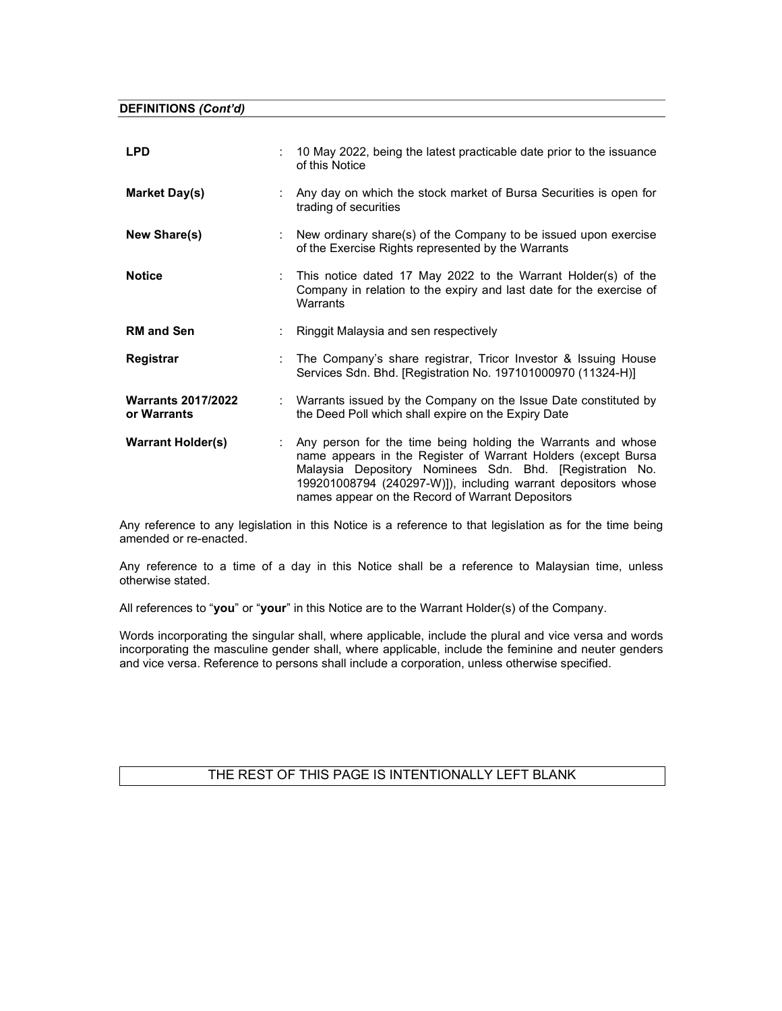DEFINITIONS (Cont'd)

| <b>LPD</b>                               |    | 10 May 2022, being the latest practicable date prior to the issuance<br>of this Notice                                                                                                                                                                                                                         |
|------------------------------------------|----|----------------------------------------------------------------------------------------------------------------------------------------------------------------------------------------------------------------------------------------------------------------------------------------------------------------|
| Market Day(s)                            |    | : Any day on which the stock market of Bursa Securities is open for<br>trading of securities                                                                                                                                                                                                                   |
| New Share(s)                             |    | : New ordinary share(s) of the Company to be issued upon exercise<br>of the Exercise Rights represented by the Warrants                                                                                                                                                                                        |
| <b>Notice</b>                            | ÷. | This notice dated 17 May 2022 to the Warrant Holder(s) of the<br>Company in relation to the expiry and last date for the exercise of<br>Warrants                                                                                                                                                               |
| <b>RM and Sen</b>                        |    | : Ringgit Malaysia and sen respectively                                                                                                                                                                                                                                                                        |
| Registrar                                |    | The Company's share registrar, Tricor Investor & Issuing House<br>Services Sdn. Bhd. [Registration No. 197101000970 (11324-H)]                                                                                                                                                                                 |
| <b>Warrants 2017/2022</b><br>or Warrants |    | : Warrants issued by the Company on the Issue Date constituted by<br>the Deed Poll which shall expire on the Expiry Date                                                                                                                                                                                       |
| <b>Warrant Holder(s)</b>                 | ÷. | Any person for the time being holding the Warrants and whose<br>name appears in the Register of Warrant Holders (except Bursa<br>Malaysia Depository Nominees Sdn. Bhd. [Registration No.<br>199201008794 (240297-W)]), including warrant depositors whose<br>names appear on the Record of Warrant Depositors |

Any reference to any legislation in this Notice is a reference to that legislation as for the time being amended or re-enacted.

Any reference to a time of a day in this Notice shall be a reference to Malaysian time, unless otherwise stated.

All references to "you" or "your" in this Notice are to the Warrant Holder(s) of the Company.

Words incorporating the singular shall, where applicable, include the plural and vice versa and words incorporating the masculine gender shall, where applicable, include the feminine and neuter genders and vice versa. Reference to persons shall include a corporation, unless otherwise specified.

## THE REST OF THIS PAGE IS INTENTIONALLY LEFT BLANK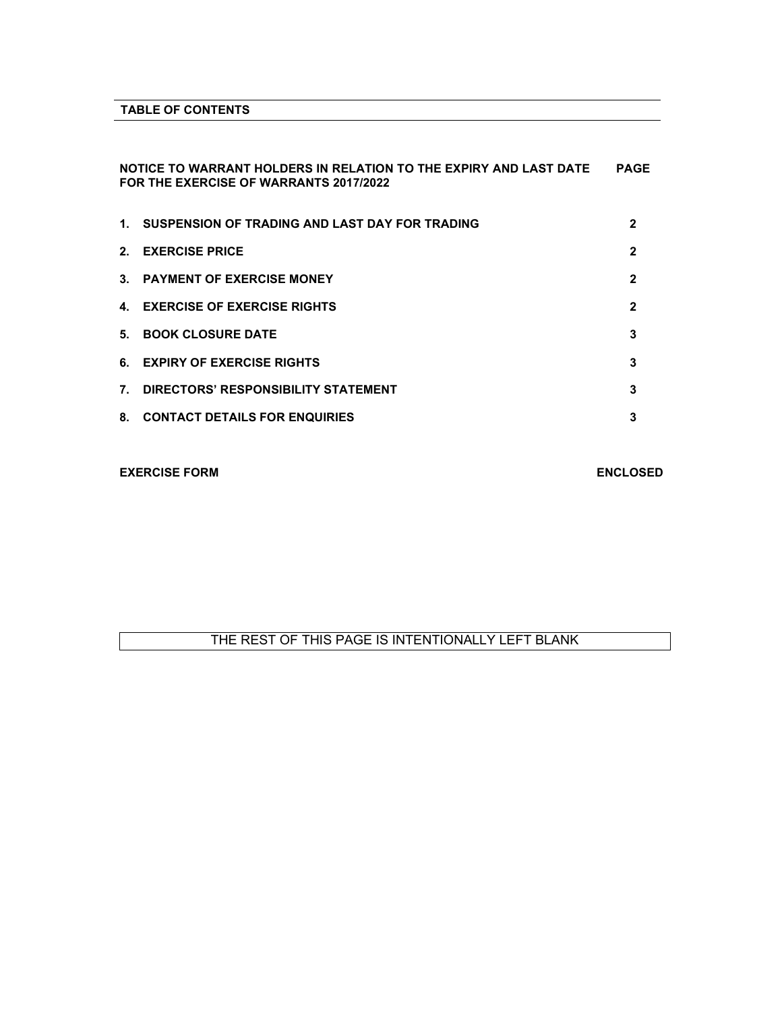### TABLE OF CONTENTS

### NOTICE TO WARRANT HOLDERS IN RELATION TO THE EXPIRY AND LAST DATE PAGE FOR THE EXERCISE OF WARRANTS 2017/2022

|                | 1. SUSPENSION OF TRADING AND LAST DAY FOR TRADING | 2 |
|----------------|---------------------------------------------------|---|
| 2 <sup>1</sup> | <b>EXERCISE PRICE</b>                             | 2 |
|                | 3. PAYMENT OF EXERCISE MONEY                      | 2 |
|                | 4. EXERCISE OF EXERCISE RIGHTS                    | 2 |
| 5.             | <b>BOOK CLOSURE DATE</b>                          | 3 |
|                | 6. EXPIRY OF EXERCISE RIGHTS                      | 3 |
| 7 <sup>2</sup> | DIRECTORS' RESPONSIBILITY STATEMENT               | 3 |
|                | 8. CONTACT DETAILS FOR ENQUIRIES                  | 3 |

#### EXERCISE FORM ENCLOSED

## THE REST OF THIS PAGE IS INTENTIONALLY LEFT BLANK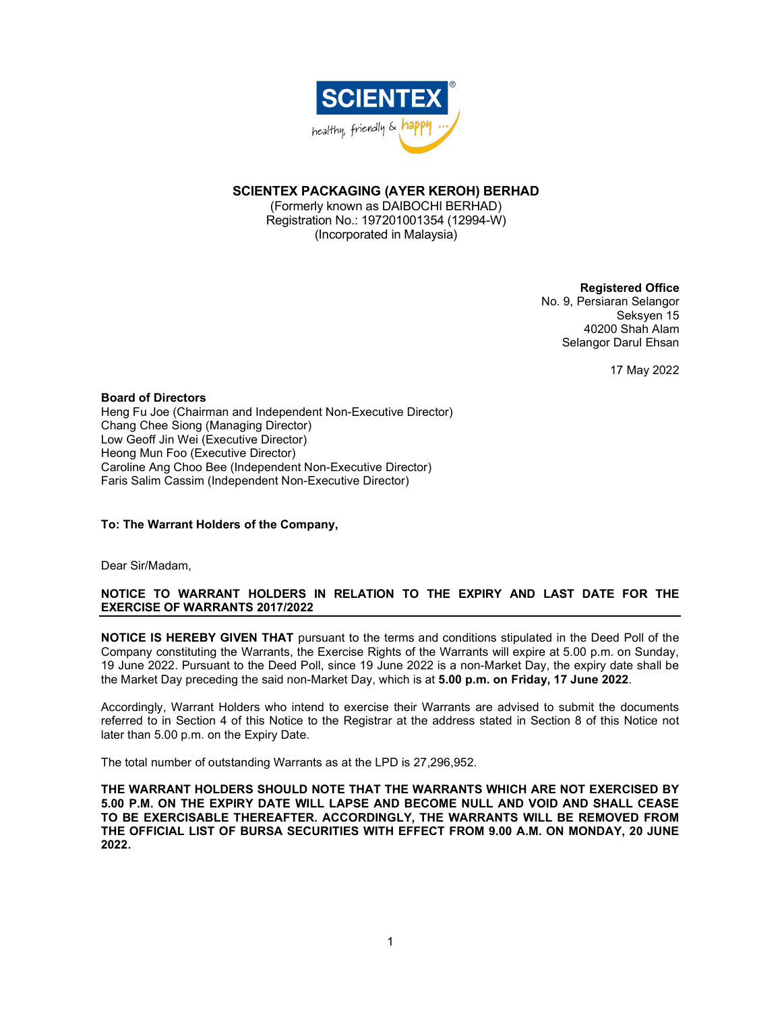

### SCIENTEX PACKAGING (AYER KEROH) BERHAD

(Formerly known as DAIBOCHI BERHAD) Registration No.: 197201001354 (12994-W) (Incorporated in Malaysia)

#### Registered Office

No. 9, Persiaran Selangor Seksyen 15 40200 Shah Alam Selangor Darul Ehsan

17 May 2022

Board of Directors Heng Fu Joe (Chairman and Independent Non-Executive Director) Chang Chee Siong (Managing Director) Low Geoff Jin Wei (Executive Director) Heong Mun Foo (Executive Director) Caroline Ang Choo Bee (Independent Non-Executive Director) Faris Salim Cassim (Independent Non-Executive Director)

#### To: The Warrant Holders of the Company,

Dear Sir/Madam,

### NOTICE TO WARRANT HOLDERS IN RELATION TO THE EXPIRY AND LAST DATE FOR THE EXERCISE OF WARRANTS 2017/2022

NOTICE IS HEREBY GIVEN THAT pursuant to the terms and conditions stipulated in the Deed Poll of the Company constituting the Warrants, the Exercise Rights of the Warrants will expire at 5.00 p.m. on Sunday, 19 June 2022. Pursuant to the Deed Poll, since 19 June 2022 is a non-Market Day, the expiry date shall be the Market Day preceding the said non-Market Day, which is at 5.00 p.m. on Friday, 17 June 2022.

Accordingly, Warrant Holders who intend to exercise their Warrants are advised to submit the documents referred to in Section 4 of this Notice to the Registrar at the address stated in Section 8 of this Notice not later than 5.00 p.m. on the Expiry Date.

The total number of outstanding Warrants as at the LPD is 27,296,952.

THE WARRANT HOLDERS SHOULD NOTE THAT THE WARRANTS WHICH ARE NOT EXERCISED BY 5.00 P.M. ON THE EXPIRY DATE WILL LAPSE AND BECOME NULL AND VOID AND SHALL CEASE TO BE EXERCISABLE THEREAFTER. ACCORDINGLY, THE WARRANTS WILL BE REMOVED FROM THE OFFICIAL LIST OF BURSA SECURITIES WITH EFFECT FROM 9.00 A.M. ON MONDAY, 20 JUNE 2022.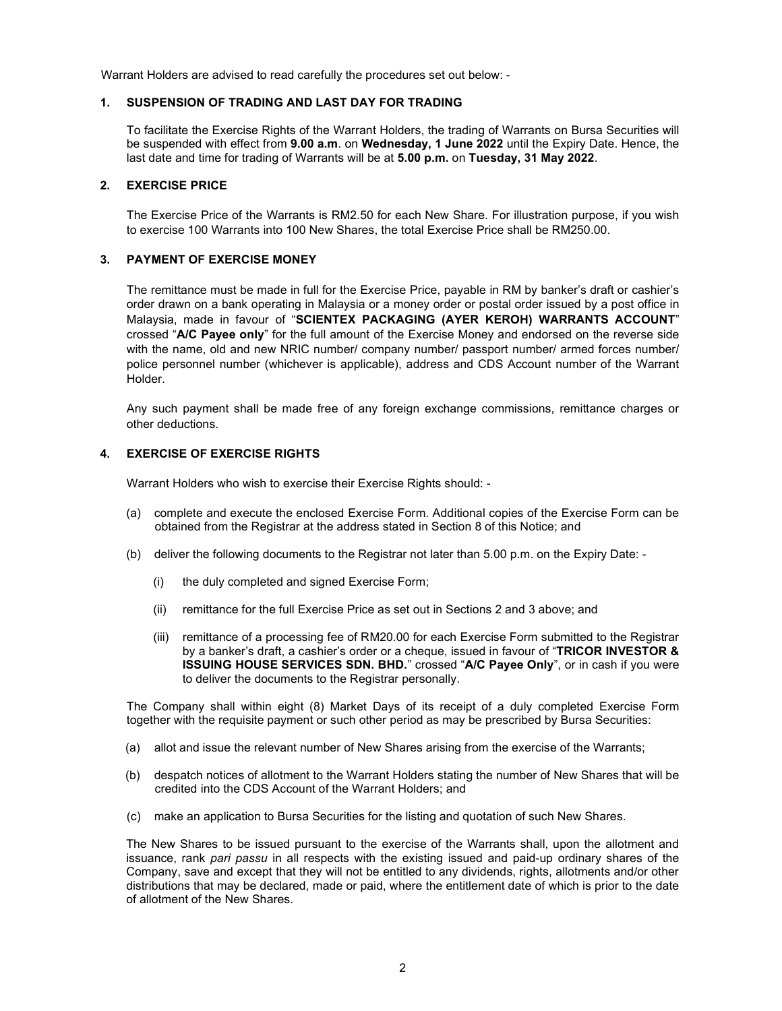Warrant Holders are advised to read carefully the procedures set out below: -

#### 1. SUSPENSION OF TRADING AND LAST DAY FOR TRADING

To facilitate the Exercise Rights of the Warrant Holders, the trading of Warrants on Bursa Securities will be suspended with effect from 9.00 a.m. on Wednesday, 1 June 2022 until the Expiry Date. Hence, the last date and time for trading of Warrants will be at 5.00 p.m. on Tuesday, 31 May 2022.

#### 2. EXERCISE PRICE

The Exercise Price of the Warrants is RM2.50 for each New Share. For illustration purpose, if you wish to exercise 100 Warrants into 100 New Shares, the total Exercise Price shall be RM250.00.

#### 3. PAYMENT OF EXERCISE MONEY

The remittance must be made in full for the Exercise Price, payable in RM by banker's draft or cashier's order drawn on a bank operating in Malaysia or a money order or postal order issued by a post office in Malaysia, made in favour of "SCIENTEX PACKAGING (AYER KEROH) WARRANTS ACCOUNT" crossed "A/C Payee only" for the full amount of the Exercise Money and endorsed on the reverse side with the name, old and new NRIC number/ company number/ passport number/ armed forces number/ police personnel number (whichever is applicable), address and CDS Account number of the Warrant Holder.

Any such payment shall be made free of any foreign exchange commissions, remittance charges or other deductions.

#### 4. EXERCISE OF EXERCISE RIGHTS

Warrant Holders who wish to exercise their Exercise Rights should: -

- (a) complete and execute the enclosed Exercise Form. Additional copies of the Exercise Form can be obtained from the Registrar at the address stated in Section 8 of this Notice; and
- (b) deliver the following documents to the Registrar not later than 5.00 p.m. on the Expiry Date:
	- (i) the duly completed and signed Exercise Form;
	- (ii) remittance for the full Exercise Price as set out in Sections 2 and 3 above; and
	- (iii) remittance of a processing fee of RM20.00 for each Exercise Form submitted to the Registrar by a banker's draft, a cashier's order or a cheque, issued in favour of "TRICOR INVESTOR & ISSUING HOUSE SERVICES SDN. BHD." crossed "A/C Payee Only", or in cash if you were to deliver the documents to the Registrar personally.

The Company shall within eight (8) Market Days of its receipt of a duly completed Exercise Form together with the requisite payment or such other period as may be prescribed by Bursa Securities:

- (a) allot and issue the relevant number of New Shares arising from the exercise of the Warrants;
- (b) despatch notices of allotment to the Warrant Holders stating the number of New Shares that will be credited into the CDS Account of the Warrant Holders; and
- (c) make an application to Bursa Securities for the listing and quotation of such New Shares.

The New Shares to be issued pursuant to the exercise of the Warrants shall, upon the allotment and issuance, rank pari passu in all respects with the existing issued and paid-up ordinary shares of the Company, save and except that they will not be entitled to any dividends, rights, allotments and/or other distributions that may be declared, made or paid, where the entitlement date of which is prior to the date of allotment of the New Shares.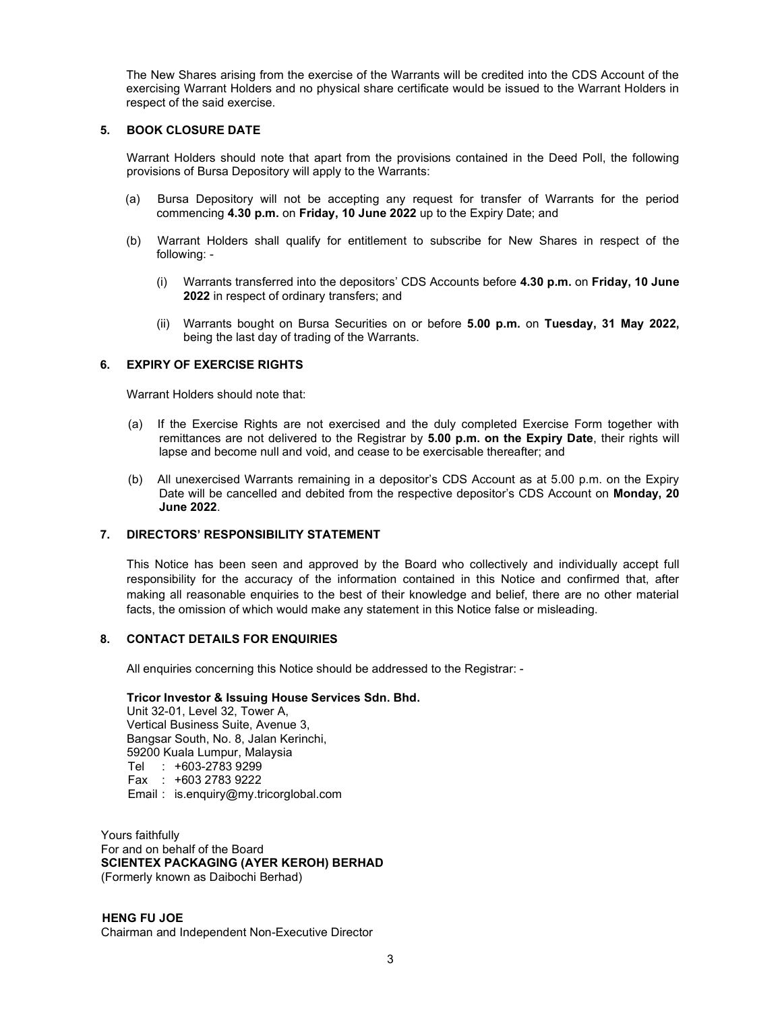The New Shares arising from the exercise of the Warrants will be credited into the CDS Account of the exercising Warrant Holders and no physical share certificate would be issued to the Warrant Holders in respect of the said exercise.

#### 5. BOOK CLOSURE DATE

Warrant Holders should note that apart from the provisions contained in the Deed Poll, the following provisions of Bursa Depository will apply to the Warrants:

- (a) Bursa Depository will not be accepting any request for transfer of Warrants for the period commencing 4.30 p.m. on Friday, 10 June 2022 up to the Expiry Date; and
- (b) Warrant Holders shall qualify for entitlement to subscribe for New Shares in respect of the following: -
	- (i) Warrants transferred into the depositors' CDS Accounts before 4.30 p.m. on Friday, 10 June 2022 in respect of ordinary transfers; and
	- (ii) Warrants bought on Bursa Securities on or before 5.00 p.m. on Tuesday, 31 May 2022, being the last day of trading of the Warrants.

#### 6. EXPIRY OF EXERCISE RIGHTS

Warrant Holders should note that:

- (a) If the Exercise Rights are not exercised and the duly completed Exercise Form together with remittances are not delivered to the Registrar by 5.00 p.m. on the Expiry Date, their rights will lapse and become null and void, and cease to be exercisable thereafter; and
- (b) All unexercised Warrants remaining in a depositor's CDS Account as at 5.00 p.m. on the Expiry Date will be cancelled and debited from the respective depositor's CDS Account on Monday, 20 June 2022.

#### 7. DIRECTORS' RESPONSIBILITY STATEMENT

This Notice has been seen and approved by the Board who collectively and individually accept full responsibility for the accuracy of the information contained in this Notice and confirmed that, after making all reasonable enquiries to the best of their knowledge and belief, there are no other material facts, the omission of which would make any statement in this Notice false or misleading.

#### 8. CONTACT DETAILS FOR ENQUIRIES

All enquiries concerning this Notice should be addressed to the Registrar: -

#### Tricor Investor & Issuing House Services Sdn. Bhd.

Unit 32-01, Level 32, Tower A, Vertical Business Suite, Avenue 3, Bangsar South, No. 8, Jalan Kerinchi, 59200 Kuala Lumpur, Malaysia Tel : +603-2783 9299 Fax : +603 2783 9222 Email : is.enquiry@my.tricorglobal.com

Yours faithfully For and on behalf of the Board SCIENTEX PACKAGING (AYER KEROH) BERHAD (Formerly known as Daibochi Berhad)

HENG FU JOE Chairman and Independent Non-Executive Director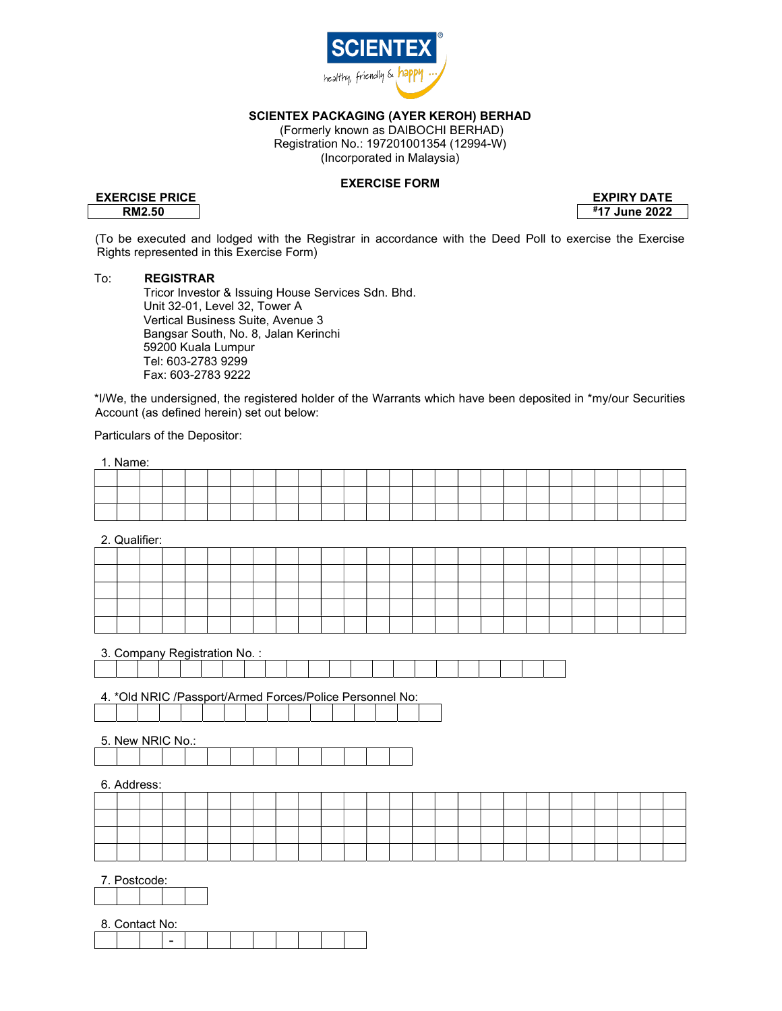

SCIENTEX PACKAGING (AYER KEROH) BERHAD

 (Formerly known as DAIBOCHI BERHAD) Registration No.: 197201001354 (12994-W) (Incorporated in Malaysia)

#### EXERCISE FORM

## EXERCISE PRICE EXPIRY DATE

RM2.50 #17 June 2022

(To be executed and lodged with the Registrar in accordance with the Deed Poll to exercise the Exercise Rights represented in this Exercise Form)

#### To: REGISTRAR

 Tricor Investor & Issuing House Services Sdn. Bhd. Unit 32-01, Level 32, Tower A Vertical Business Suite, Avenue 3 Bangsar South, No. 8, Jalan Kerinchi 59200 Kuala Lumpur Tel: 603-2783 9299 Fax: 603-2783 9222

\*I/We, the undersigned, the registered holder of the Warrants which have been deposited in \*my/our Securities Account (as defined herein) set out below:

Particulars of the Depositor:

| 1. Name: |  |  |  |  |  |  |  |  |  |  |  |  |
|----------|--|--|--|--|--|--|--|--|--|--|--|--|
|          |  |  |  |  |  |  |  |  |  |  |  |  |
|          |  |  |  |  |  |  |  |  |  |  |  |  |
|          |  |  |  |  |  |  |  |  |  |  |  |  |

2. Qualifier:

3. Company Registration No. :

|  |  |  |  |  |                                                 |  |  |  |  | the contract of the contract of the contract of |  |
|--|--|--|--|--|-------------------------------------------------|--|--|--|--|-------------------------------------------------|--|
|  |  |  |  |  | the contract of the contract of the contract of |  |  |  |  |                                                 |  |
|  |  |  |  |  |                                                 |  |  |  |  |                                                 |  |

4. \*Old NRIC /Passport/Armed Forces/Police Personnel No:

5. New NRIC No.:

|  | 6. Address: |  |  |  |  |  |  |  |  |  |  |  |  |
|--|-------------|--|--|--|--|--|--|--|--|--|--|--|--|
|  |             |  |  |  |  |  |  |  |  |  |  |  |  |
|  |             |  |  |  |  |  |  |  |  |  |  |  |  |
|  |             |  |  |  |  |  |  |  |  |  |  |  |  |
|  |             |  |  |  |  |  |  |  |  |  |  |  |  |

7. Postcode:

| $\circ$<br>`onto<br>J. | act No: |  |  |  |  |  |
|------------------------|---------|--|--|--|--|--|
|                        |         |  |  |  |  |  |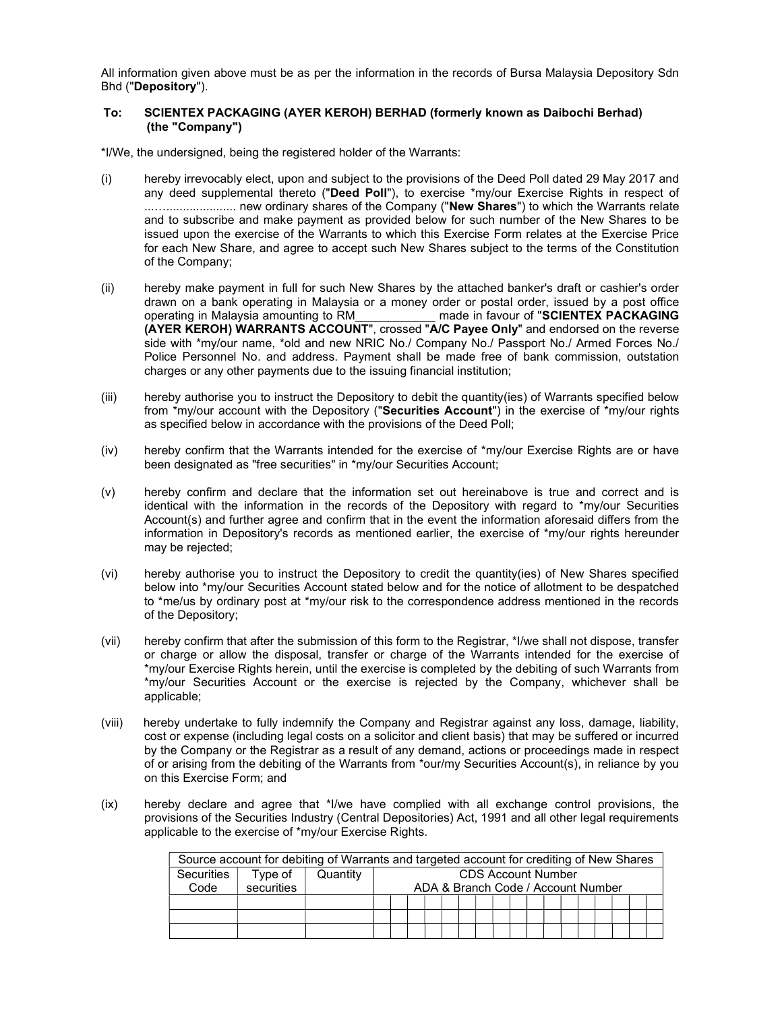All information given above must be as per the information in the records of Bursa Malaysia Depository Sdn Bhd ("Depository").

#### To: SCIENTEX PACKAGING (AYER KEROH) BERHAD (formerly known as Daibochi Berhad) (the "Company")

\*I/We, the undersigned, being the registered holder of the Warrants:

- (i) hereby irrevocably elect, upon and subject to the provisions of the Deed Poll dated 29 May 2017 and any deed supplemental thereto ("Deed Poll"), to exercise \*my/our Exercise Rights in respect of ...…..................... new ordinary shares of the Company ("New Shares") to which the Warrants relate and to subscribe and make payment as provided below for such number of the New Shares to be issued upon the exercise of the Warrants to which this Exercise Form relates at the Exercise Price for each New Share, and agree to accept such New Shares subject to the terms of the Constitution of the Company;
- (ii) hereby make payment in full for such New Shares by the attached banker's draft or cashier's order drawn on a bank operating in Malaysia or a money order or postal order, issued by a post office operating in Malaysia amounting to RM\_\_\_\_\_\_\_\_\_\_\_\_ made in favour of "SCIENTEX PACKAGING (AYER KEROH) WARRANTS ACCOUNT", crossed "A/C Payee Only" and endorsed on the reverse side with \*my/our name, \*old and new NRIC No./ Company No./ Passport No./ Armed Forces No./ Police Personnel No. and address. Payment shall be made free of bank commission, outstation charges or any other payments due to the issuing financial institution;
- (iii) hereby authorise you to instruct the Depository to debit the quantity(ies) of Warrants specified below from \*my/our account with the Depository ("Securities Account") in the exercise of \*my/our rights as specified below in accordance with the provisions of the Deed Poll;
- (iv) hereby confirm that the Warrants intended for the exercise of \*my/our Exercise Rights are or have been designated as "free securities" in \*my/our Securities Account;
- (v) hereby confirm and declare that the information set out hereinabove is true and correct and is identical with the information in the records of the Depository with regard to \*my/our Securities Account(s) and further agree and confirm that in the event the information aforesaid differs from the information in Depository's records as mentioned earlier, the exercise of \*my/our rights hereunder may be rejected;
- (vi) hereby authorise you to instruct the Depository to credit the quantity(ies) of New Shares specified below into \*my/our Securities Account stated below and for the notice of allotment to be despatched to \*me/us by ordinary post at \*my/our risk to the correspondence address mentioned in the records of the Depository;
- (vii) hereby confirm that after the submission of this form to the Registrar, \*I/we shall not dispose, transfer or charge or allow the disposal, transfer or charge of the Warrants intended for the exercise of \*my/our Exercise Rights herein, until the exercise is completed by the debiting of such Warrants from \*my/our Securities Account or the exercise is rejected by the Company, whichever shall be applicable;
- (viii) hereby undertake to fully indemnify the Company and Registrar against any loss, damage, liability, cost or expense (including legal costs on a solicitor and client basis) that may be suffered or incurred by the Company or the Registrar as a result of any demand, actions or proceedings made in respect of or arising from the debiting of the Warrants from \*our/my Securities Account(s), in reliance by you on this Exercise Form; and
- (ix) hereby declare and agree that \*I/we have complied with all exchange control provisions, the provisions of the Securities Industry (Central Depositories) Act, 1991 and all other legal requirements applicable to the exercise of \*my/our Exercise Rights.

|            |            | Source account for debiting of Warrants and targeted account for crediting of New Shares |                                    |  |  |  |  |  |  |  |  |  |                           |  |  |  |  |  |  |
|------------|------------|------------------------------------------------------------------------------------------|------------------------------------|--|--|--|--|--|--|--|--|--|---------------------------|--|--|--|--|--|--|
| Securities | Type of    | Quantity                                                                                 |                                    |  |  |  |  |  |  |  |  |  | <b>CDS Account Number</b> |  |  |  |  |  |  |
| Code       | securities |                                                                                          | ADA & Branch Code / Account Number |  |  |  |  |  |  |  |  |  |                           |  |  |  |  |  |  |
|            |            |                                                                                          |                                    |  |  |  |  |  |  |  |  |  |                           |  |  |  |  |  |  |
|            |            |                                                                                          |                                    |  |  |  |  |  |  |  |  |  |                           |  |  |  |  |  |  |
|            |            |                                                                                          |                                    |  |  |  |  |  |  |  |  |  |                           |  |  |  |  |  |  |